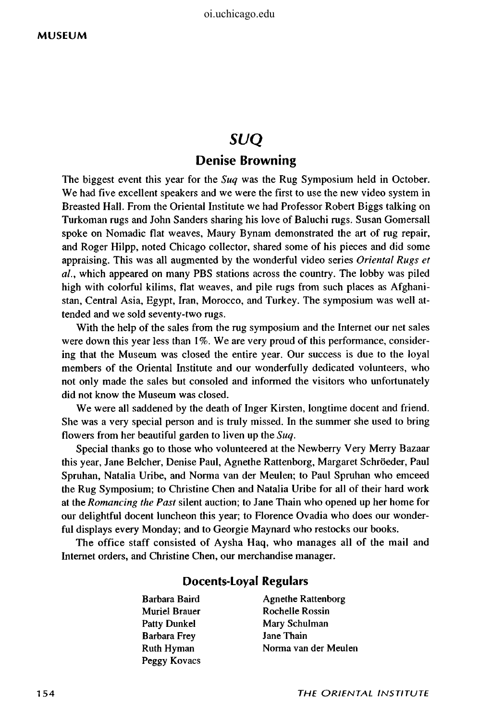## SUQ

### **Denise Browning**

The biggest event this year for the *Suq* was the Rug Symposium held in October. We had five excellent speakers and we were the first to use the new video system in Breasted Hall. From the Oriental Institute we had Professor Robert Biggs talking on Turkoman rugs and John Sanders sharing his love of Baluchi rugs. Susan Gomersall spoke on Nomadic flat weaves, Maury Bynam demonstrated the art of rug repair, and Roger Hilpp, noted Chicago collector, shared some of his pieces and did some appraising. This was all augmented by the wonderful video series *Oriental Rugs et ai,* which appeared on many PBS stations across the country. The lobby was piled high with colorful kilims, flat weaves, and pile rugs from such places as Afghanistan, Central Asia, Egypt, Iran, Morocco, and Turkey. The symposium was well attended and we sold seventy-two rugs.

With the help of the sales from the rug symposium and the Internet our net sales were down this year less than 1%. We are very proud of this performance, considering that the Museum was closed the entire year. Our success is due to the loyal members of the Oriental Institute and our wonderfully dedicated volunteers, who not only made the sales but consoled and informed the visitors who unfortunately did not know the Museum was closed.

We were all saddened by the death of Inger Kirsten, longtime docent and friend. She was a very special person and is truly missed. In the summer she used to bring flowers from her beautiful garden to liven up the *Suq.* 

Special thanks go to those who volunteered at the Newberry Very Merry Bazaar this year, Jane Belcher, Denise Paul, Agnethe Rattenborg, Margaret Schroeder, Paul Spruhan, Natalia Uribe, and Norma van der Meulen; to Paul Spruhan who emceed the Rug Symposium; to Christine Chen and Natalia Uribe for all of their hard work at the *Romancing the Past* silent auction; to Jane Thain who opened up her home for our delightful docent luncheon this year; to Florence Ovadia who does our wonderful displays every Monday; and to Georgie Maynard who restocks our books.

The office staff consisted of Aysha Haq, who manages all of the mail and Internet orders, and Christine Chen, our merchandise manager.

#### **Docents-Loyal Regulars**

- Muriel Brauer Rochelle Rossin Patty Dunkel Mary Schulman Barbara Frey Jane Thain Peggy Kovacs
- Barbara Baird **Agnethe Rattenborg** Ruth Hyman Norma van der Meulen